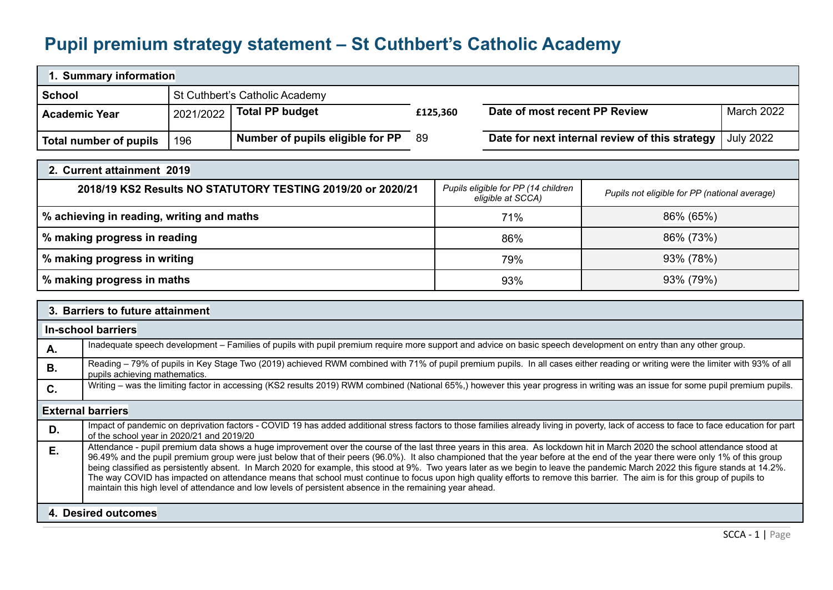## **Pupil premium strategy statement – St Cuthbert's Catholic Academy**

| 1. Summary information |           |                                  |          |                                                            |            |  |  |
|------------------------|-----------|----------------------------------|----------|------------------------------------------------------------|------------|--|--|
| <b>School</b>          |           | St Cuthbert's Catholic Academy   |          |                                                            |            |  |  |
| <b>Academic Year</b>   | 2021/2022 | <b>Total PP budget</b>           | £125,360 | Date of most recent PP Review                              | March 2022 |  |  |
| Total number of pupils | 196       | Number of pupils eligible for PP | -89      | Date for next internal review of this strategy   July 2022 |            |  |  |

| 2. Current attainment 2019                                  |                                                          |                                               |
|-------------------------------------------------------------|----------------------------------------------------------|-----------------------------------------------|
| 2018/19 KS2 Results NO STATUTORY TESTING 2019/20 or 2020/21 | Pupils eligible for PP (14 children<br>eligible at SCCA) | Pupils not eligible for PP (national average) |
| % achieving in reading, writing and maths                   | 71%                                                      | 86% (65%)                                     |
| % making progress in reading                                | 86%                                                      | 86% (73%)                                     |
| % making progress in writing                                | 79%                                                      | 93% (78%)                                     |
| % making progress in maths                                  | 93%                                                      | 93% (79%)                                     |

|    | 3. Barriers to future attainment                                                                                                                                                                                                                                                                                                                                                                                                                                                                                                                                                                                                                                                                                                                                                                                                            |
|----|---------------------------------------------------------------------------------------------------------------------------------------------------------------------------------------------------------------------------------------------------------------------------------------------------------------------------------------------------------------------------------------------------------------------------------------------------------------------------------------------------------------------------------------------------------------------------------------------------------------------------------------------------------------------------------------------------------------------------------------------------------------------------------------------------------------------------------------------|
|    | In-school barriers                                                                                                                                                                                                                                                                                                                                                                                                                                                                                                                                                                                                                                                                                                                                                                                                                          |
| Α. | Inadequate speech development – Families of pupils with pupil premium require more support and advice on basic speech development on entry than any other group.                                                                                                                                                                                                                                                                                                                                                                                                                                                                                                                                                                                                                                                                            |
| В. | Reading – 79% of pupils in Key Stage Two (2019) achieved RWM combined with 71% of pupil premium pupils. In all cases either reading or writing were the limiter with 93% of all<br>pupils achieving mathematics.                                                                                                                                                                                                                                                                                                                                                                                                                                                                                                                                                                                                                            |
| C. | Writing – was the limiting factor in accessing (KS2 results 2019) RWM combined (National 65%,) however this year progress in writing was an issue for some pupil premium pupils.                                                                                                                                                                                                                                                                                                                                                                                                                                                                                                                                                                                                                                                            |
|    | <b>External barriers</b>                                                                                                                                                                                                                                                                                                                                                                                                                                                                                                                                                                                                                                                                                                                                                                                                                    |
| D. | Impact of pandemic on deprivation factors - COVID 19 has added additional stress factors to those families already living in poverty, lack of access to face to face education for part<br>of the school year in 2020/21 and 2019/20                                                                                                                                                                                                                                                                                                                                                                                                                                                                                                                                                                                                        |
| Ε. | Attendance - pupil premium data shows a huge improvement over the course of the last three years in this area. As lockdown hit in March 2020 the school attendance stood at<br>96.49% and the pupil premium group were just below that of their peers (96.0%). It also championed that the year before at the end of the year there were only 1% of this group<br>being classified as persistently absent. In March 2020 for example, this stood at 9%. Two years later as we begin to leave the pandemic March 2022 this figure stands at 14.2%.<br>The way COVID has impacted on attendance means that school must continue to focus upon high quality efforts to remove this barrier. The aim is for this group of pupils to<br>maintain this high level of attendance and low levels of persistent absence in the remaining year ahead. |
|    | 4. Desired outcomes                                                                                                                                                                                                                                                                                                                                                                                                                                                                                                                                                                                                                                                                                                                                                                                                                         |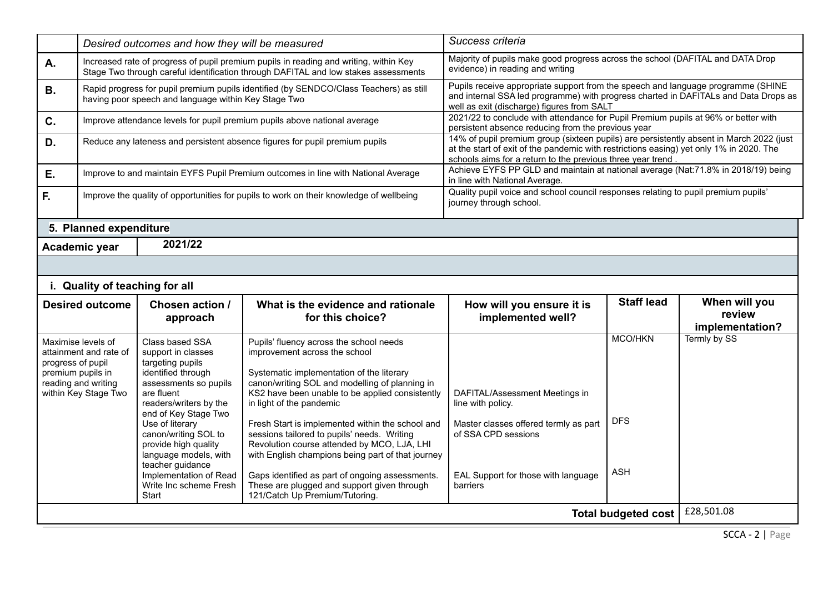|                            | Desired outcomes and how they will be measured                                                                   |                                                                                                                                                                                                                                                                                                                                                              | Success criteria                                                                                                                                                                                                                                                                                                                                                                                                                                                                                                                                                                                  |                                                                                                                                                                                                                                                   |                                            |                                            |
|----------------------------|------------------------------------------------------------------------------------------------------------------|--------------------------------------------------------------------------------------------------------------------------------------------------------------------------------------------------------------------------------------------------------------------------------------------------------------------------------------------------------------|---------------------------------------------------------------------------------------------------------------------------------------------------------------------------------------------------------------------------------------------------------------------------------------------------------------------------------------------------------------------------------------------------------------------------------------------------------------------------------------------------------------------------------------------------------------------------------------------------|---------------------------------------------------------------------------------------------------------------------------------------------------------------------------------------------------------------------------------------------------|--------------------------------------------|--------------------------------------------|
| Α.                         |                                                                                                                  |                                                                                                                                                                                                                                                                                                                                                              | Increased rate of progress of pupil premium pupils in reading and writing, within Key<br>Stage Two through careful identification through DAFITAL and low stakes assessments                                                                                                                                                                                                                                                                                                                                                                                                                      | Majority of pupils make good progress across the school (DAFITAL and DATA Drop<br>evidence) in reading and writing                                                                                                                                |                                            |                                            |
| <b>B.</b>                  |                                                                                                                  | having poor speech and language within Key Stage Two                                                                                                                                                                                                                                                                                                         | Rapid progress for pupil premium pupils identified (by SENDCO/Class Teachers) as still                                                                                                                                                                                                                                                                                                                                                                                                                                                                                                            | Pupils receive appropriate support from the speech and language programme (SHINE<br>and internal SSA led programme) with progress charted in DAFITALs and Data Drops as<br>well as exit (discharge) figures from SALT                             |                                            |                                            |
| $\mathbf{C}$ .             |                                                                                                                  |                                                                                                                                                                                                                                                                                                                                                              | Improve attendance levels for pupil premium pupils above national average                                                                                                                                                                                                                                                                                                                                                                                                                                                                                                                         | 2021/22 to conclude with attendance for Pupil Premium pupils at 96% or better with<br>persistent absence reducing from the previous year                                                                                                          |                                            |                                            |
| D.                         | Reduce any lateness and persistent absence figures for pupil premium pupils                                      |                                                                                                                                                                                                                                                                                                                                                              |                                                                                                                                                                                                                                                                                                                                                                                                                                                                                                                                                                                                   | 14% of pupil premium group (sixteen pupils) are persistently absent in March 2022 (just<br>at the start of exit of the pandemic with restrictions easing) yet only 1% in 2020. The<br>schools aims for a return to the previous three year trend. |                                            |                                            |
| Ε.                         |                                                                                                                  |                                                                                                                                                                                                                                                                                                                                                              | Improve to and maintain EYFS Pupil Premium outcomes in line with National Average                                                                                                                                                                                                                                                                                                                                                                                                                                                                                                                 | Achieve EYFS PP GLD and maintain at national average (Nat:71.8% in 2018/19) being<br>in line with National Average.                                                                                                                               |                                            |                                            |
| F.                         |                                                                                                                  |                                                                                                                                                                                                                                                                                                                                                              | Improve the quality of opportunities for pupils to work on their knowledge of wellbeing                                                                                                                                                                                                                                                                                                                                                                                                                                                                                                           | Quality pupil voice and school council responses relating to pupil premium pupils'<br>journey through school.                                                                                                                                     |                                            |                                            |
|                            | 5. Planned expenditure                                                                                           |                                                                                                                                                                                                                                                                                                                                                              |                                                                                                                                                                                                                                                                                                                                                                                                                                                                                                                                                                                                   |                                                                                                                                                                                                                                                   |                                            |                                            |
|                            | Academic year                                                                                                    | 2021/22                                                                                                                                                                                                                                                                                                                                                      |                                                                                                                                                                                                                                                                                                                                                                                                                                                                                                                                                                                                   |                                                                                                                                                                                                                                                   |                                            |                                            |
|                            |                                                                                                                  |                                                                                                                                                                                                                                                                                                                                                              |                                                                                                                                                                                                                                                                                                                                                                                                                                                                                                                                                                                                   |                                                                                                                                                                                                                                                   |                                            |                                            |
|                            |                                                                                                                  | i. Quality of teaching for all                                                                                                                                                                                                                                                                                                                               |                                                                                                                                                                                                                                                                                                                                                                                                                                                                                                                                                                                                   |                                                                                                                                                                                                                                                   |                                            |                                            |
|                            | <b>Desired outcome</b>                                                                                           | Chosen action /<br>approach                                                                                                                                                                                                                                                                                                                                  | What is the evidence and rationale<br>for this choice?                                                                                                                                                                                                                                                                                                                                                                                                                                                                                                                                            | How will you ensure it is<br>implemented well?                                                                                                                                                                                                    | <b>Staff lead</b>                          | When will you<br>review<br>implementation? |
| progress of pupil          | Maximise levels of<br>attainment and rate of<br>premium pupils in<br>reading and writing<br>within Key Stage Two | Class based SSA<br>support in classes<br>targeting pupils<br>identified through<br>assessments so pupils<br>are fluent<br>readers/writers by the<br>end of Key Stage Two<br>Use of literary<br>canon/writing SOL to<br>provide high quality<br>language models, with<br>teacher guidance<br>Implementation of Read<br>Write Inc scheme Fresh<br><b>Start</b> | Pupils' fluency across the school needs<br>improvement across the school<br>Systematic implementation of the literary<br>canon/writing SOL and modelling of planning in<br>KS2 have been unable to be applied consistently<br>in light of the pandemic<br>Fresh Start is implemented within the school and<br>sessions tailored to pupils' needs. Writing<br>Revolution course attended by MCO, LJA, LHI<br>with English champions being part of that journey<br>Gaps identified as part of ongoing assessments.<br>These are plugged and support given through<br>121/Catch Up Premium/Tutoring. | DAFITAL/Assessment Meetings in<br>line with policy.<br>Master classes offered termly as part<br>of SSA CPD sessions<br>EAL Support for those with language<br>barriers                                                                            | <b>MCO/HKN</b><br><b>DFS</b><br><b>ASH</b> | Termly by SS                               |
| <b>Total budgeted cost</b> |                                                                                                                  |                                                                                                                                                                                                                                                                                                                                                              |                                                                                                                                                                                                                                                                                                                                                                                                                                                                                                                                                                                                   |                                                                                                                                                                                                                                                   |                                            | £28,501.08                                 |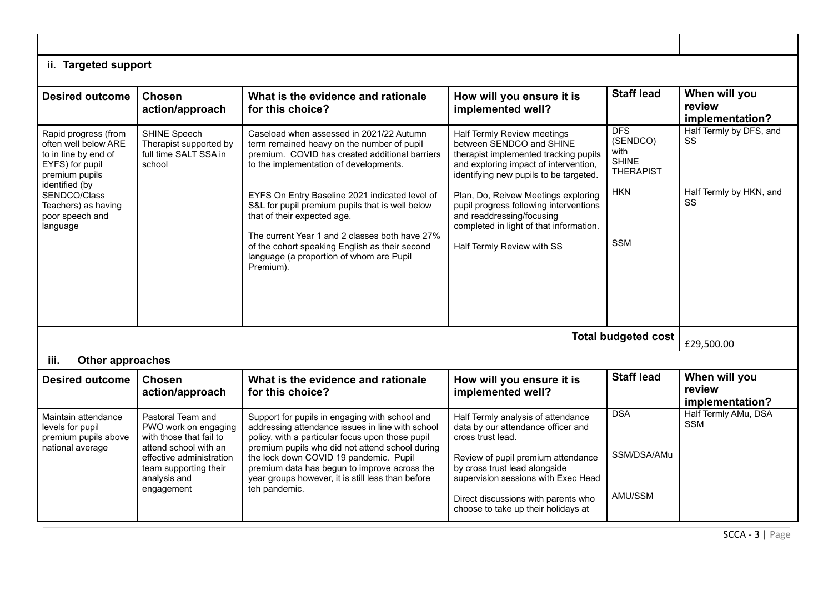| ii. Targeted support                                                                                                        |                                                                                               |                                                                                                                                                                                                           |                                                                                                                                                                                     |                                                                    |                                            |
|-----------------------------------------------------------------------------------------------------------------------------|-----------------------------------------------------------------------------------------------|-----------------------------------------------------------------------------------------------------------------------------------------------------------------------------------------------------------|-------------------------------------------------------------------------------------------------------------------------------------------------------------------------------------|--------------------------------------------------------------------|--------------------------------------------|
| <b>Desired outcome</b>                                                                                                      | <b>Chosen</b><br>action/approach                                                              | What is the evidence and rationale<br>for this choice?                                                                                                                                                    | How will you ensure it is<br>implemented well?                                                                                                                                      | <b>Staff lead</b>                                                  | When will you<br>review<br>implementation? |
| Rapid progress (from<br>often well below ARE<br>to in line by end of<br>EYFS) for pupil<br>premium pupils<br>identified (by | SHINE Speech<br>Therapist supported by<br>full time SALT SSA in<br>school                     | Caseload when assessed in 2021/22 Autumn<br>term remained heavy on the number of pupil<br>premium. COVID has created additional barriers<br>to the implementation of developments.                        | Half Termly Review meetings<br>between SENDCO and SHINE<br>therapist implemented tracking pupils<br>and exploring impact of intervention,<br>identifying new pupils to be targeted. | <b>DFS</b><br>(SENDCO)<br>with<br><b>SHINE</b><br><b>THERAPIST</b> | Half Termly by DFS, and<br>SS              |
| SENDCO/Class<br>Teachers) as having<br>poor speech and<br>language                                                          |                                                                                               | EYFS On Entry Baseline 2021 indicated level of<br>S&L for pupil premium pupils that is well below<br>that of their expected age.                                                                          | Plan, Do, Reivew Meetings exploring<br>pupil progress following interventions<br>and readdressing/focusing<br>completed in light of that information.                               | <b>HKN</b>                                                         | Half Termly by HKN, and<br><b>SS</b>       |
|                                                                                                                             |                                                                                               | The current Year 1 and 2 classes both have 27%<br>of the cohort speaking English as their second<br>language (a proportion of whom are Pupil<br>Premium).                                                 | Half Termly Review with SS                                                                                                                                                          | <b>SSM</b>                                                         |                                            |
|                                                                                                                             |                                                                                               |                                                                                                                                                                                                           |                                                                                                                                                                                     | <b>Total budgeted cost</b>                                         | £29,500.00                                 |
| iii.<br><b>Other approaches</b>                                                                                             |                                                                                               |                                                                                                                                                                                                           |                                                                                                                                                                                     |                                                                    |                                            |
| <b>Desired outcome</b>                                                                                                      | <b>Chosen</b><br>action/approach                                                              | What is the evidence and rationale<br>for this choice?                                                                                                                                                    | How will you ensure it is<br>implemented well?                                                                                                                                      | <b>Staff lead</b>                                                  | When will you<br>review<br>implementation? |
| Maintain attendance<br>levels for pupil<br>premium pupils above<br>national average                                         | Pastoral Team and<br>PWO work on engaging<br>with those that fail to<br>attend school with an | Support for pupils in engaging with school and<br>addressing attendance issues in line with school<br>policy, with a particular focus upon those pupil<br>premium pupils who did not attend school during | Half Termly analysis of attendance<br>data by our attendance officer and<br>cross trust lead.                                                                                       | <b>DSA</b>                                                         | Half Termly AMu, DSA<br><b>SSM</b>         |
|                                                                                                                             | effective administration<br>team supporting their<br>analysis and                             | the lock down COVID 19 pandemic. Pupil<br>premium data has begun to improve across the<br>year groups however, it is still less than before                                                               | Review of pupil premium attendance<br>by cross trust lead alongside<br>supervision sessions with Exec Head                                                                          | SSM/DSA/AMu                                                        |                                            |
|                                                                                                                             | engagement                                                                                    | teh pandemic.                                                                                                                                                                                             | Direct discussions with parents who<br>choose to take up their holidays at                                                                                                          | AMU/SSM                                                            |                                            |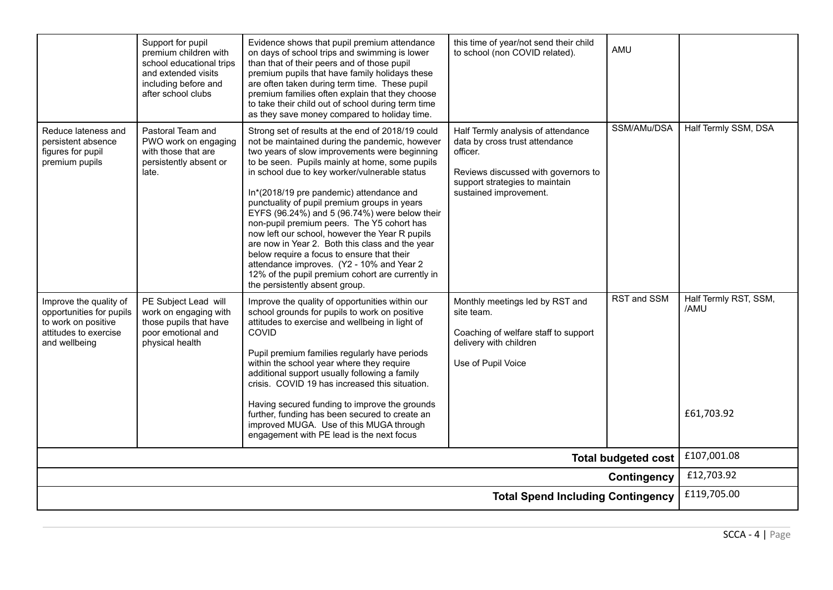| Contingency<br><b>Total Spend Including Contingency</b>                                                             |                                                                                                                                             |                                                                                                                                                                                                                                                                                                                                                                                                                                                                                                                                                                                                                                                                                                                                          |                                                                                                                                                                                     | £119,705.00                |                               |
|---------------------------------------------------------------------------------------------------------------------|---------------------------------------------------------------------------------------------------------------------------------------------|------------------------------------------------------------------------------------------------------------------------------------------------------------------------------------------------------------------------------------------------------------------------------------------------------------------------------------------------------------------------------------------------------------------------------------------------------------------------------------------------------------------------------------------------------------------------------------------------------------------------------------------------------------------------------------------------------------------------------------------|-------------------------------------------------------------------------------------------------------------------------------------------------------------------------------------|----------------------------|-------------------------------|
|                                                                                                                     |                                                                                                                                             |                                                                                                                                                                                                                                                                                                                                                                                                                                                                                                                                                                                                                                                                                                                                          |                                                                                                                                                                                     | <b>Total budgeted cost</b> | £107,001.08<br>£12,703.92     |
|                                                                                                                     |                                                                                                                                             | additional support usually following a family<br>crisis. COVID 19 has increased this situation.<br>Having secured funding to improve the grounds<br>further, funding has been secured to create an<br>improved MUGA. Use of this MUGA through<br>engagement with PE lead is the next focus                                                                                                                                                                                                                                                                                                                                                                                                                                               |                                                                                                                                                                                     |                            | £61,703.92                    |
| Improve the quality of<br>opportunities for pupils<br>to work on positive<br>attitudes to exercise<br>and wellbeing | PE Subject Lead will<br>work on engaging with<br>those pupils that have<br>poor emotional and<br>physical health                            | Improve the quality of opportunities within our<br>school grounds for pupils to work on positive<br>attitudes to exercise and wellbeing in light of<br>COVID<br>Pupil premium families regularly have periods<br>within the school year where they require                                                                                                                                                                                                                                                                                                                                                                                                                                                                               | Monthly meetings led by RST and<br>site team.<br>Coaching of welfare staff to support<br>delivery with children<br>Use of Pupil Voice                                               | RST and SSM                | Half Termly RST, SSM,<br>/AMU |
| Reduce lateness and<br>persistent absence<br>figures for pupil<br>premium pupils                                    | Pastoral Team and<br>PWO work on engaging<br>with those that are<br>persistently absent or<br>late.                                         | Strong set of results at the end of 2018/19 could<br>not be maintained during the pandemic, however<br>two years of slow improvements were beginning<br>to be seen. Pupils mainly at home, some pupils<br>in school due to key worker/vulnerable status<br>In*(2018/19 pre pandemic) attendance and<br>punctuality of pupil premium groups in years<br>EYFS (96.24%) and 5 (96.74%) were below their<br>non-pupil premium peers. The Y5 cohort has<br>now left our school, however the Year R pupils<br>are now in Year 2. Both this class and the year<br>below require a focus to ensure that their<br>attendance improves. (Y2 - 10% and Year 2<br>12% of the pupil premium cohort are currently in<br>the persistently absent group. | Half Termly analysis of attendance<br>data by cross trust attendance<br>officer.<br>Reviews discussed with governors to<br>support strategies to maintain<br>sustained improvement. | SSM/AMu/DSA                | Half Termly SSM, DSA          |
|                                                                                                                     | Support for pupil<br>premium children with<br>school educational trips<br>and extended visits<br>including before and<br>after school clubs | Evidence shows that pupil premium attendance<br>on days of school trips and swimming is lower<br>than that of their peers and of those pupil<br>premium pupils that have family holidays these<br>are often taken during term time. These pupil<br>premium families often explain that they choose<br>to take their child out of school during term time<br>as they save money compared to holiday time.                                                                                                                                                                                                                                                                                                                                 | this time of year/not send their child<br>to school (non COVID related).                                                                                                            | AMU                        |                               |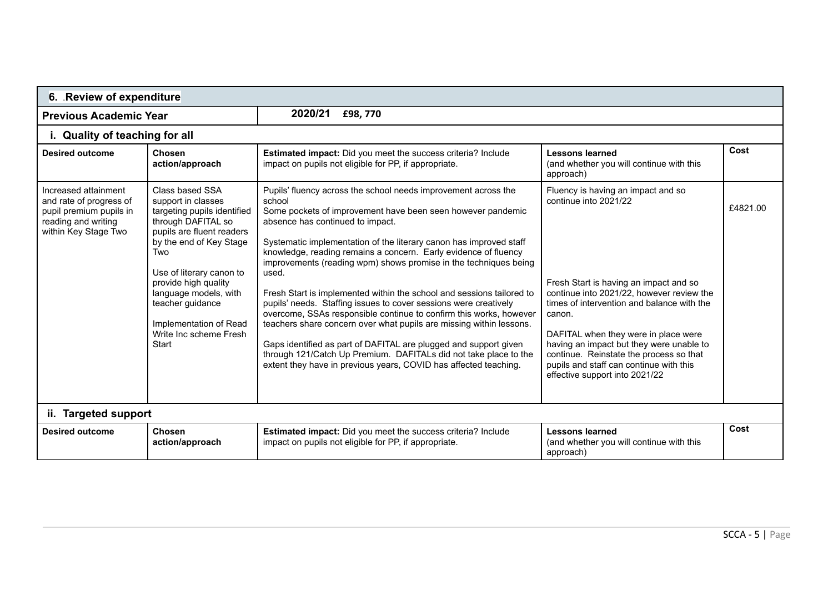| 6. Review of expenditure                                                                                                  |                                                                                                                                                                                                                                                                                                                         |                                                                                                                                                                                                                                                                                                                                                                                                                                                                                                                                                                                                                                                                                                                                                                                                                                                                                                         |                                                                                                                                                                                                                                                                                                                                                                                                                        |          |  |  |  |
|---------------------------------------------------------------------------------------------------------------------------|-------------------------------------------------------------------------------------------------------------------------------------------------------------------------------------------------------------------------------------------------------------------------------------------------------------------------|---------------------------------------------------------------------------------------------------------------------------------------------------------------------------------------------------------------------------------------------------------------------------------------------------------------------------------------------------------------------------------------------------------------------------------------------------------------------------------------------------------------------------------------------------------------------------------------------------------------------------------------------------------------------------------------------------------------------------------------------------------------------------------------------------------------------------------------------------------------------------------------------------------|------------------------------------------------------------------------------------------------------------------------------------------------------------------------------------------------------------------------------------------------------------------------------------------------------------------------------------------------------------------------------------------------------------------------|----------|--|--|--|
| <b>Previous Academic Year</b>                                                                                             |                                                                                                                                                                                                                                                                                                                         |                                                                                                                                                                                                                                                                                                                                                                                                                                                                                                                                                                                                                                                                                                                                                                                                                                                                                                         |                                                                                                                                                                                                                                                                                                                                                                                                                        |          |  |  |  |
|                                                                                                                           | i. Quality of teaching for all                                                                                                                                                                                                                                                                                          |                                                                                                                                                                                                                                                                                                                                                                                                                                                                                                                                                                                                                                                                                                                                                                                                                                                                                                         |                                                                                                                                                                                                                                                                                                                                                                                                                        |          |  |  |  |
| <b>Desired outcome</b>                                                                                                    | Chosen<br>action/approach                                                                                                                                                                                                                                                                                               | Estimated impact: Did you meet the success criteria? Include<br>impact on pupils not eligible for PP, if appropriate.                                                                                                                                                                                                                                                                                                                                                                                                                                                                                                                                                                                                                                                                                                                                                                                   | <b>Lessons learned</b><br>(and whether you will continue with this<br>approach)                                                                                                                                                                                                                                                                                                                                        | Cost     |  |  |  |
| Increased attainment<br>and rate of progress of<br>pupil premium pupils in<br>reading and writing<br>within Key Stage Two | Class based SSA<br>support in classes<br>targeting pupils identified<br>through DAFITAL so<br>pupils are fluent readers<br>by the end of Key Stage<br>Two<br>Use of literary canon to<br>provide high quality<br>language models, with<br>teacher guidance<br>Implementation of Read<br>Write Inc scheme Fresh<br>Start | Pupils' fluency across the school needs improvement across the<br>school<br>Some pockets of improvement have been seen however pandemic<br>absence has continued to impact.<br>Systematic implementation of the literary canon has improved staff<br>knowledge, reading remains a concern. Early evidence of fluency<br>improvements (reading wpm) shows promise in the techniques being<br>used.<br>Fresh Start is implemented within the school and sessions tailored to<br>pupils' needs. Staffing issues to cover sessions were creatively<br>overcome, SSAs responsible continue to confirm this works, however<br>teachers share concern over what pupils are missing within lessons.<br>Gaps identified as part of DAFITAL are plugged and support given<br>through 121/Catch Up Premium. DAFITALs did not take place to the<br>extent they have in previous years, COVID has affected teaching. | Fluency is having an impact and so<br>continue into 2021/22<br>Fresh Start is having an impact and so<br>continue into 2021/22, however review the<br>times of intervention and balance with the<br>canon.<br>DAFITAL when they were in place were<br>having an impact but they were unable to<br>continue. Reinstate the process so that<br>pupils and staff can continue with this<br>effective support into 2021/22 | £4821.00 |  |  |  |
|                                                                                                                           | ii. Targeted support                                                                                                                                                                                                                                                                                                    |                                                                                                                                                                                                                                                                                                                                                                                                                                                                                                                                                                                                                                                                                                                                                                                                                                                                                                         |                                                                                                                                                                                                                                                                                                                                                                                                                        |          |  |  |  |
| <b>Desired outcome</b>                                                                                                    | Chosen<br>action/approach                                                                                                                                                                                                                                                                                               | Estimated impact: Did you meet the success criteria? Include<br>impact on pupils not eligible for PP, if appropriate.                                                                                                                                                                                                                                                                                                                                                                                                                                                                                                                                                                                                                                                                                                                                                                                   | <b>Lessons learned</b><br>(and whether you will continue with this<br>approach)                                                                                                                                                                                                                                                                                                                                        | Cost     |  |  |  |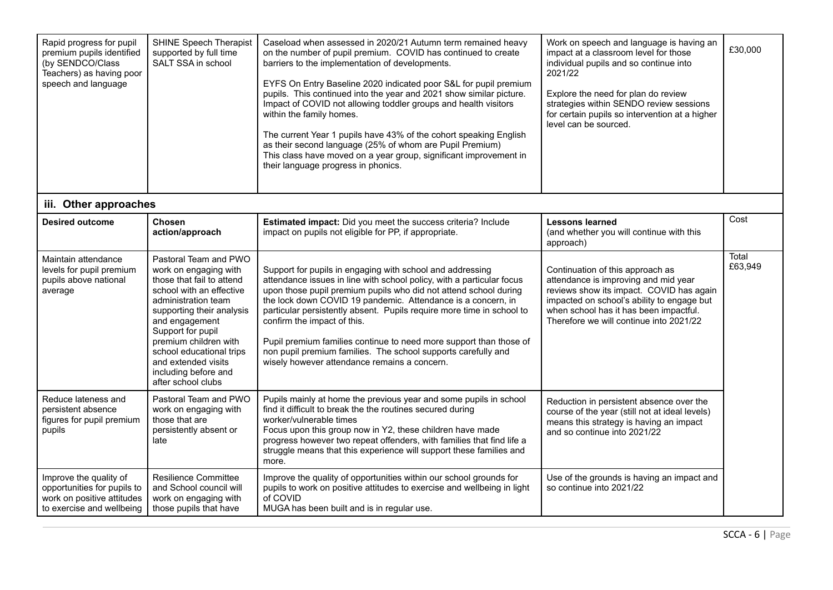| Rapid progress for pupil<br>premium pupils identified<br>(by SENDCO/Class<br>Teachers) as having poor<br>speech and language | <b>SHINE Speech Therapist</b><br>supported by full time<br>SALT SSA in school                                                                                                                                                                                                                                                | Caseload when assessed in 2020/21 Autumn term remained heavy<br>on the number of pupil premium. COVID has continued to create<br>barriers to the implementation of developments.<br>EYFS On Entry Baseline 2020 indicated poor S&L for pupil premium<br>pupils. This continued into the year and 2021 show similar picture.<br>Impact of COVID not allowing toddler groups and health visitors<br>within the family homes.<br>The current Year 1 pupils have 43% of the cohort speaking English<br>as their second language (25% of whom are Pupil Premium)<br>This class have moved on a year group, significant improvement in<br>their language progress in phonics. | Work on speech and language is having an<br>impact at a classroom level for those<br>individual pupils and so continue into<br>2021/22<br>Explore the need for plan do review<br>strategies within SENDO review sessions<br>for certain pupils so intervention at a higher<br>level can be sourced. | £30,000          |
|------------------------------------------------------------------------------------------------------------------------------|------------------------------------------------------------------------------------------------------------------------------------------------------------------------------------------------------------------------------------------------------------------------------------------------------------------------------|-------------------------------------------------------------------------------------------------------------------------------------------------------------------------------------------------------------------------------------------------------------------------------------------------------------------------------------------------------------------------------------------------------------------------------------------------------------------------------------------------------------------------------------------------------------------------------------------------------------------------------------------------------------------------|-----------------------------------------------------------------------------------------------------------------------------------------------------------------------------------------------------------------------------------------------------------------------------------------------------|------------------|
| iii. Other approaches                                                                                                        |                                                                                                                                                                                                                                                                                                                              |                                                                                                                                                                                                                                                                                                                                                                                                                                                                                                                                                                                                                                                                         |                                                                                                                                                                                                                                                                                                     |                  |
| <b>Desired outcome</b>                                                                                                       | Chosen<br>action/approach                                                                                                                                                                                                                                                                                                    | Estimated impact: Did you meet the success criteria? Include<br>impact on pupils not eligible for PP, if appropriate.                                                                                                                                                                                                                                                                                                                                                                                                                                                                                                                                                   | <b>Lessons learned</b><br>(and whether you will continue with this<br>approach)                                                                                                                                                                                                                     | Cost             |
| Maintain attendance<br>levels for pupil premium<br>pupils above national<br>average                                          | Pastoral Team and PWO<br>work on engaging with<br>those that fail to attend<br>school with an effective<br>administration team<br>supporting their analysis<br>and engagement<br>Support for pupil<br>premium children with<br>school educational trips<br>and extended visits<br>including before and<br>after school clubs | Support for pupils in engaging with school and addressing<br>attendance issues in line with school policy, with a particular focus<br>upon those pupil premium pupils who did not attend school during<br>the lock down COVID 19 pandemic. Attendance is a concern, in<br>particular persistently absent. Pupils require more time in school to<br>confirm the impact of this.<br>Pupil premium families continue to need more support than those of<br>non pupil premium families. The school supports carefully and<br>wisely however attendance remains a concern.                                                                                                   | Continuation of this approach as<br>attendance is improving and mid year<br>reviews show its impact. COVID has again<br>impacted on school's ability to engage but<br>when school has it has been impactful.<br>Therefore we will continue into 2021/22                                             | Total<br>£63,949 |
| Reduce lateness and<br>persistent absence<br>figures for pupil premium<br>pupils                                             | Pastoral Team and PWO<br>work on engaging with<br>those that are<br>persistently absent or<br>late                                                                                                                                                                                                                           | Pupils mainly at home the previous year and some pupils in school<br>find it difficult to break the the routines secured during<br>worker/vulnerable times<br>Focus upon this group now in Y2, these children have made<br>progress however two repeat offenders, with families that find life a<br>struggle means that this experience will support these families and<br>more.                                                                                                                                                                                                                                                                                        | Reduction in persistent absence over the<br>course of the year (still not at ideal levels)<br>means this strategy is having an impact<br>and so continue into 2021/22                                                                                                                               |                  |
| Improve the quality of<br>opportunities for pupils to<br>work on positive attitudes<br>to exercise and wellbeing             | <b>Resilience Committee</b><br>and School council will<br>work on engaging with<br>those pupils that have                                                                                                                                                                                                                    | Improve the quality of opportunities within our school grounds for<br>pupils to work on positive attitudes to exercise and wellbeing in light<br>of COVID<br>MUGA has been built and is in regular use.                                                                                                                                                                                                                                                                                                                                                                                                                                                                 | Use of the grounds is having an impact and<br>so continue into 2021/22                                                                                                                                                                                                                              |                  |